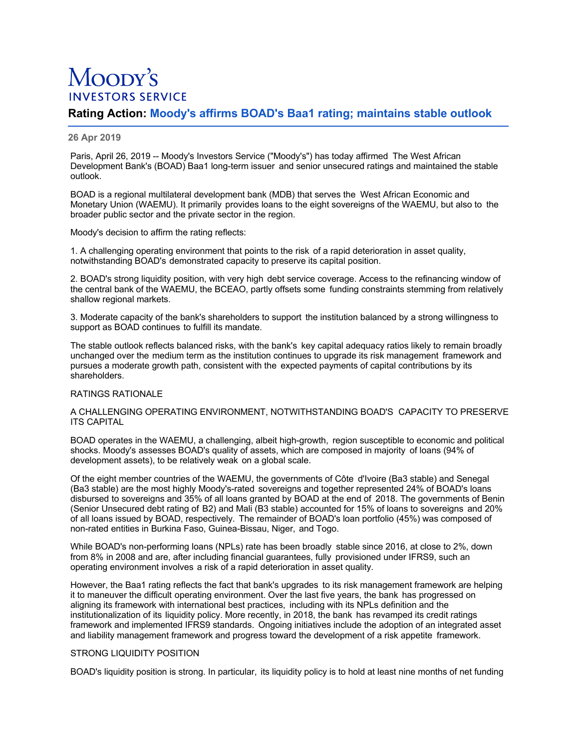# Moopy's **INVESTORS SERVICE**

# **Rating Action: Moody's affirms BOAD's Baa1 rating; maintains stable outlook**

# **26 Apr 2019**

Paris, April 26, 2019 -- Moody's Investors Service ("Moody's") has today affirmed The West African Development Bank's (BOAD) Baa1 long-term issuer and senior unsecured ratings and maintained the stable outlook.

BOAD is a regional multilateral development bank (MDB) that serves the West African Economic and Monetary Union (WAEMU). It primarily provides loans to the eight sovereigns of the WAEMU, but also to the broader public sector and the private sector in the region.

Moody's decision to affirm the rating reflects:

1. A challenging operating environment that points to the risk of a rapid deterioration in asset quality, notwithstanding BOAD's demonstrated capacity to preserve its capital position.

2. BOAD's strong liquidity position, with very high debt service coverage. Access to the refinancing window of the central bank of the WAEMU, the BCEAO, partly offsets some funding constraints stemming from relatively shallow regional markets.

3. Moderate capacity of the bank's shareholders to support the institution balanced by a strong willingness to support as BOAD continues to fulfill its mandate.

The stable outlook reflects balanced risks, with the bank's key capital adequacy ratios likely to remain broadly unchanged over the medium term as the institution continues to upgrade its risk management framework and pursues a moderate growth path, consistent with the expected payments of capital contributions by its shareholders.

# RATINGS RATIONALE

# A CHALLENGING OPERATING ENVIRONMENT, NOTWITHSTANDING BOAD'S CAPACITY TO PRESERVE **ITS CAPITAL**

BOAD operates in the WAEMU, a challenging, albeit high-growth, region susceptible to economic and political shocks. Moody's assesses BOAD's quality of assets, which are composed in majority of loans (94% of development assets), to be relatively weak on a global scale.

Of the eight member countries of the WAEMU, the governments of Côte d'Ivoire (Ba3 stable) and Senegal (Ba3 stable) are the most highly Moody's-rated sovereigns and together represented 24% of BOAD's loans disbursed to sovereigns and 35% of all loans granted by BOAD at the end of 2018. The governments of Benin (Senior Unsecured debt rating of B2) and Mali (B3 stable) accounted for 15% of loans to sovereigns and 20% of all loans issued by BOAD, respectively. The remainder of BOAD's loan portfolio (45%) was composed of non-rated entities in Burkina Faso, Guinea-Bissau, Niger, and Togo.

While BOAD's non-performing loans (NPLs) rate has been broadly stable since 2016, at close to 2%, down from 8% in 2008 and are, after including financial guarantees, fully provisioned under IFRS9, such an operating environment involves a risk of a rapid deterioration in asset quality.

However, the Baa1 rating reflects the fact that bank's upgrades to its risk management framework are helping it to maneuver the difficult operating environment. Over the last five years, the bank has progressed on aligning its framework with international best practices, including with its NPLs definition and the institutionalization of its liquidity policy. More recently, in 2018, the bank has revamped its credit ratings framework and implemented IFRS9 standards. Ongoing initiatives include the adoption of an integrated asset and liability management framework and progress toward the development of a risk appetite framework.

# STRONG LIQUIDITY POSITION

BOAD's liquidity position is strong. In particular, its liquidity policy is to hold at least nine months of net funding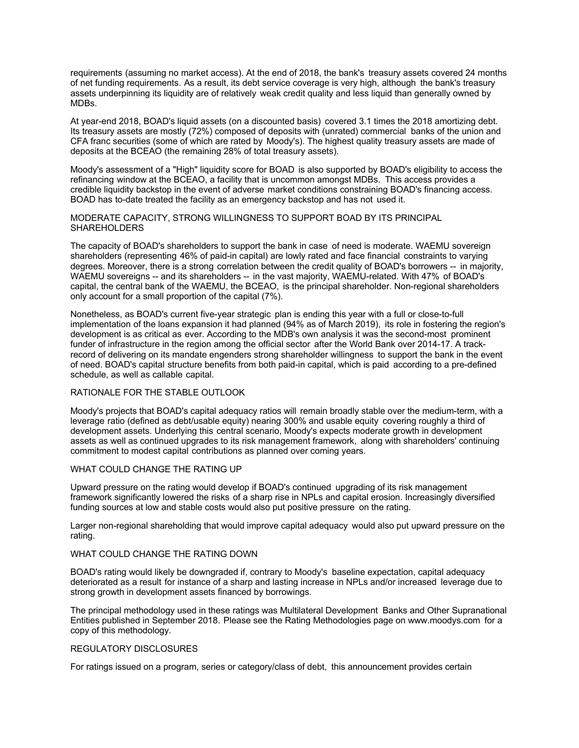requirements (assuming no market access). At the end of 2018, the bank's treasury assets covered 24 months of net funding requirements. As a result, its debt service coverage is very high, although the bank's treasury assets underpinning its liquidity are of relatively weak credit quality and less liquid than generally owned by MDBs.

At year-end 2018, BOAD's liquid assets (on a discounted basis) covered 3.1 times the 2018 amortizing debt. Its treasury assets are mostly (72%) composed of deposits with (unrated) commercial banks of the union and CFA franc securities (some of which are rated by Moody's). The highest quality treasury assets are made of deposits at the BCEAO (the remaining 28% of total treasury assets).

Moody's assessment of a "High" liquidity score for BOAD is also supported by BOAD's eligibility to access the refinancing window at the BCEAO, a facility that is uncommon amongst MDBs. This access provides a credible liquidity backstop in the event of adverse market conditions constraining BOAD's financing access. BOAD has to-date treated the facility as an emergency backstop and has not used it.

MODERATE CAPACITY, STRONG WILLINGNESS TO SUPPORT BOAD BY ITS PRINCIPAL **SHAREHOLDERS** 

The capacity of BOAD's shareholders to support the bank in case of need is moderate. WAEMU sovereign shareholders (representing 46% of paid-in capital) are lowly rated and face financial constraints to varying degrees. Moreover, there is a strong correlation between the credit quality of BOAD's borrowers -- in majority, WAEMU sovereigns -- and its shareholders -- in the vast majority, WAEMU-related. With 47% of BOAD's capital, the central bank of the WAEMU, the BCEAO, is the principal shareholder. Non-regional shareholders only account for a small proportion of the capital (7%).

Nonetheless, as BOAD's current five-year strategic plan is ending this year with a full or close-to-full implementation of the loans expansion it had planned (94% as of March 2019), its role in fostering the region's development is as critical as ever. According to the MDB's own analysis it was the second-most prominent funder of infrastructure in the region among the official sector after the World Bank over 2014-17. A trackrecord of delivering on its mandate engenders strong shareholder willingness to support the bank in the event of need. BOAD's capital structure benefits from both paid-in capital, which is paid according to a pre-defined schedule, as well as callable capital.

#### RATIONALE FOR THE STABLE OUTLOOK

Moody's projects that BOAD's capital adequacy ratios will remain broadly stable over the medium-term, with a leverage ratio (defined as debt/usable equity) nearing 300% and usable equity covering roughly a third of development assets. Underlying this central scenario, Moody's expects moderate growth in development assets as well as continued upgrades to its risk management framework, along with shareholders' continuing commitment to modest capital contributions as planned over coming years.

#### WHAT COULD CHANGE THE RATING UP

Upward pressure on the rating would develop if BOAD's continued upgrading of its risk management framework significantly lowered the risks of a sharp rise in NPLs and capital erosion. Increasingly diversified funding sources at low and stable costs would also put positive pressure on the rating.

Larger non-regional shareholding that would improve capital adequacy would also put upward pressure on the rating.

#### WHAT COULD CHANGE THE RATING DOWN

BOAD's rating would likely be downgraded if, contrary to Moody's baseline expectation, capital adequacy deteriorated as a result for instance of a sharp and lasting increase in NPLs and/or increased leverage due to strong growth in development assets financed by borrowings.

The principal methodology used in these ratings was Multilateral Development Banks and Other Supranational Entities published in September 2018. Please see the Rating Methodologies page on www.moodys.com for a copy of this methodology.

#### REGULATORY DISCLOSURES

For ratings issued on a program, series or category/class of debt, this announcement provides certain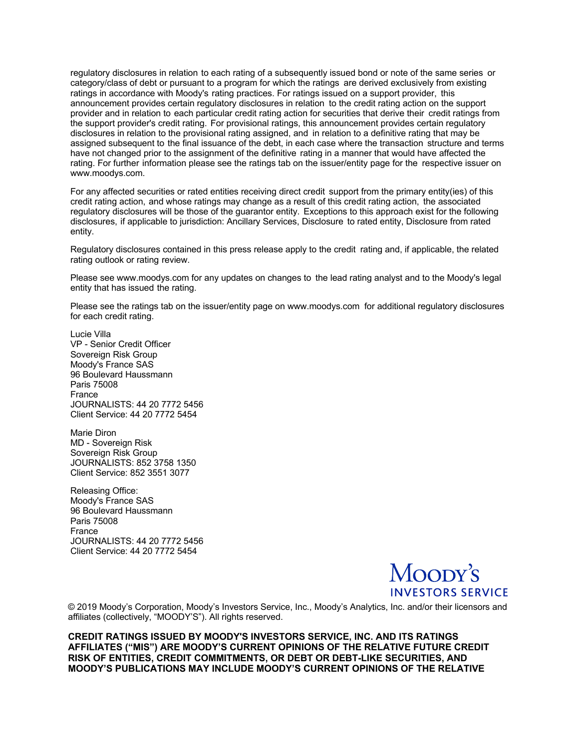regulatory disclosures in relation to each rating of a subsequently issued bond or note of the same series or category/class of debt or pursuant to a program for which the ratings are derived exclusively from existing ratings in accordance with Moody's rating practices. For ratings issued on a support provider, this announcement provides certain regulatory disclosures in relation to the credit rating action on the support provider and in relation to each particular credit rating action for securities that derive their credit ratings from the support provider's credit rating. For provisional ratings, this announcement provides certain regulatory disclosures in relation to the provisional rating assigned, and in relation to a definitive rating that may be assigned subsequent to the final issuance of the debt, in each case where the transaction structure and terms have not changed prior to the assignment of the definitive rating in a manner that would have affected the rating. For further information please see the ratings tab on the issuer/entity page for the respective issuer on www.moodys.com.

For any affected securities or rated entities receiving direct credit support from the primary entity(ies) of this credit rating action, and whose ratings may change as a result of this credit rating action, the associated regulatory disclosures will be those of the guarantor entity. Exceptions to this approach exist for the following disclosures, if applicable to jurisdiction: Ancillary Services, Disclosure to rated entity, Disclosure from rated entity.

Regulatory disclosures contained in this press release apply to the credit rating and, if applicable, the related rating outlook or rating review.

Please see www.moodys.com for any updates on changes to the lead rating analyst and to the Moody's legal entity that has issued the rating.

Please see the ratings tab on the issuer/entity page on www.moodys.com for additional regulatory disclosures for each credit rating.

Lucie Villa VP - Senior Credit Officer Sovereign Risk Group Moody's France SAS 96 Boulevard Haussmann Paris 75008 France JOURNALISTS: 44 20 7772 5456 Client Service: 44 20 7772 5454

Marie Diron MD - Sovereign Risk Sovereign Risk Group JOURNALISTS: 852 3758 1350 Client Service: 852 3551 3077

Releasing Office: Moody's France SAS 96 Boulevard Haussmann Paris 75008 France JOURNALISTS: 44 20 7772 5456 Client Service: 44 20 7772 5454



© 2019 Moody's Corporation, Moody's Investors Service, Inc., Moody's Analytics, Inc. and/or their licensors and affiliates (collectively, "MOODY'S"). All rights reserved.

**CREDIT RATINGS ISSUED BY MOODY'S INVESTORS SERVICE, INC. AND ITS RATINGS AFFILIATES ("MIS") ARE MOODY'S CURRENT OPINIONS OF THE RELATIVE FUTURE CREDIT RISK OF ENTITIES, CREDIT COMMITMENTS, OR DEBT OR DEBT-LIKE SECURITIES, AND MOODY'S PUBLICATIONS MAY INCLUDE MOODY'S CURRENT OPINIONS OF THE RELATIVE**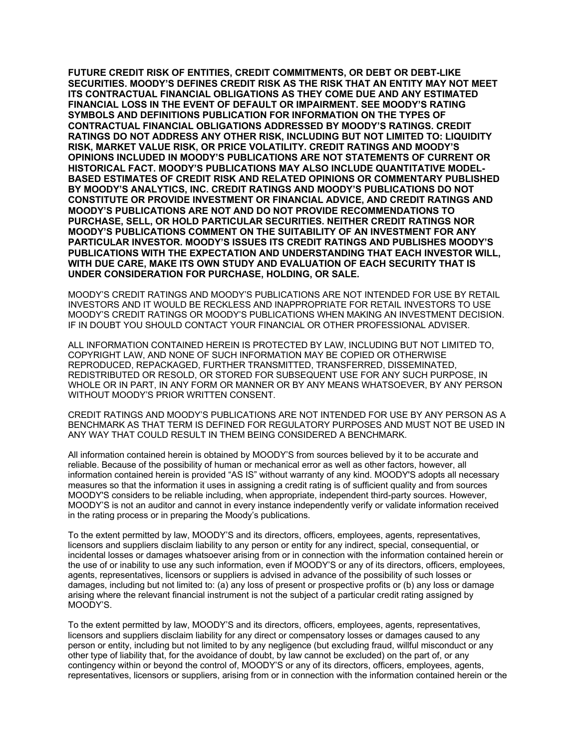**FUTURE CREDIT RISK OF ENTITIES, CREDIT COMMITMENTS, OR DEBT OR DEBT-LIKE SECURITIES. MOODY'S DEFINES CREDIT RISK AS THE RISK THAT AN ENTITY MAY NOT MEET ITS CONTRACTUAL FINANCIAL OBLIGATIONS AS THEY COME DUE AND ANY ESTIMATED FINANCIAL LOSS IN THE EVENT OF DEFAULT OR IMPAIRMENT. SEE MOODY'S RATING SYMBOLS AND DEFINITIONS PUBLICATION FOR INFORMATION ON THE TYPES OF CONTRACTUAL FINANCIAL OBLIGATIONS ADDRESSED BY MOODY'S RATINGS. CREDIT RATINGS DO NOT ADDRESS ANY OTHER RISK, INCLUDING BUT NOT LIMITED TO: LIQUIDITY RISK, MARKET VALUE RISK, OR PRICE VOLATILITY. CREDIT RATINGS AND MOODY'S OPINIONS INCLUDED IN MOODY'S PUBLICATIONS ARE NOT STATEMENTS OF CURRENT OR HISTORICAL FACT. MOODY'S PUBLICATIONS MAY ALSO INCLUDE QUANTITATIVE MODEL-BASED ESTIMATES OF CREDIT RISK AND RELATED OPINIONS OR COMMENTARY PUBLISHED BY MOODY'S ANALYTICS, INC. CREDIT RATINGS AND MOODY'S PUBLICATIONS DO NOT CONSTITUTE OR PROVIDE INVESTMENT OR FINANCIAL ADVICE, AND CREDIT RATINGS AND MOODY'S PUBLICATIONS ARE NOT AND DO NOT PROVIDE RECOMMENDATIONS TO PURCHASE, SELL, OR HOLD PARTICULAR SECURITIES. NEITHER CREDIT RATINGS NOR MOODY'S PUBLICATIONS COMMENT ON THE SUITABILITY OF AN INVESTMENT FOR ANY PARTICULAR INVESTOR. MOODY'S ISSUES ITS CREDIT RATINGS AND PUBLISHES MOODY'S PUBLICATIONS WITH THE EXPECTATION AND UNDERSTANDING THAT EACH INVESTOR WILL, WITH DUE CARE, MAKE ITS OWN STUDY AND EVALUATION OF EACH SECURITY THAT IS UNDER CONSIDERATION FOR PURCHASE, HOLDING, OR SALE.** 

MOODY'S CREDIT RATINGS AND MOODY'S PUBLICATIONS ARE NOT INTENDED FOR USE BY RETAIL INVESTORS AND IT WOULD BE RECKLESS AND INAPPROPRIATE FOR RETAIL INVESTORS TO USE MOODY'S CREDIT RATINGS OR MOODY'S PUBLICATIONS WHEN MAKING AN INVESTMENT DECISION. IF IN DOUBT YOU SHOULD CONTACT YOUR FINANCIAL OR OTHER PROFESSIONAL ADVISER.

ALL INFORMATION CONTAINED HEREIN IS PROTECTED BY LAW, INCLUDING BUT NOT LIMITED TO, COPYRIGHT LAW, AND NONE OF SUCH INFORMATION MAY BE COPIED OR OTHERWISE REPRODUCED, REPACKAGED, FURTHER TRANSMITTED, TRANSFERRED, DISSEMINATED, REDISTRIBUTED OR RESOLD, OR STORED FOR SUBSEQUENT USE FOR ANY SUCH PURPOSE, IN WHOLE OR IN PART, IN ANY FORM OR MANNER OR BY ANY MEANS WHATSOEVER, BY ANY PERSON WITHOUT MOODY'S PRIOR WRITTEN CONSENT.

CREDIT RATINGS AND MOODY'S PUBLICATIONS ARE NOT INTENDED FOR USE BY ANY PERSON AS A BENCHMARK AS THAT TERM IS DEFINED FOR REGULATORY PURPOSES AND MUST NOT BE USED IN ANY WAY THAT COULD RESULT IN THEM BEING CONSIDERED A BENCHMARK.

All information contained herein is obtained by MOODY'S from sources believed by it to be accurate and reliable. Because of the possibility of human or mechanical error as well as other factors, however, all information contained herein is provided "AS IS" without warranty of any kind. MOODY'S adopts all necessary measures so that the information it uses in assigning a credit rating is of sufficient quality and from sources MOODY'S considers to be reliable including, when appropriate, independent third-party sources. However, MOODY'S is not an auditor and cannot in every instance independently verify or validate information received in the rating process or in preparing the Moody's publications.

To the extent permitted by law, MOODY'S and its directors, officers, employees, agents, representatives, licensors and suppliers disclaim liability to any person or entity for any indirect, special, consequential, or incidental losses or damages whatsoever arising from or in connection with the information contained herein or the use of or inability to use any such information, even if MOODY'S or any of its directors, officers, employees, agents, representatives, licensors or suppliers is advised in advance of the possibility of such losses or damages, including but not limited to: (a) any loss of present or prospective profits or (b) any loss or damage arising where the relevant financial instrument is not the subject of a particular credit rating assigned by MOODY'S.

To the extent permitted by law, MOODY'S and its directors, officers, employees, agents, representatives, licensors and suppliers disclaim liability for any direct or compensatory losses or damages caused to any person or entity, including but not limited to by any negligence (but excluding fraud, willful misconduct or any other type of liability that, for the avoidance of doubt, by law cannot be excluded) on the part of, or any contingency within or beyond the control of, MOODY'S or any of its directors, officers, employees, agents, representatives, licensors or suppliers, arising from or in connection with the information contained herein or the